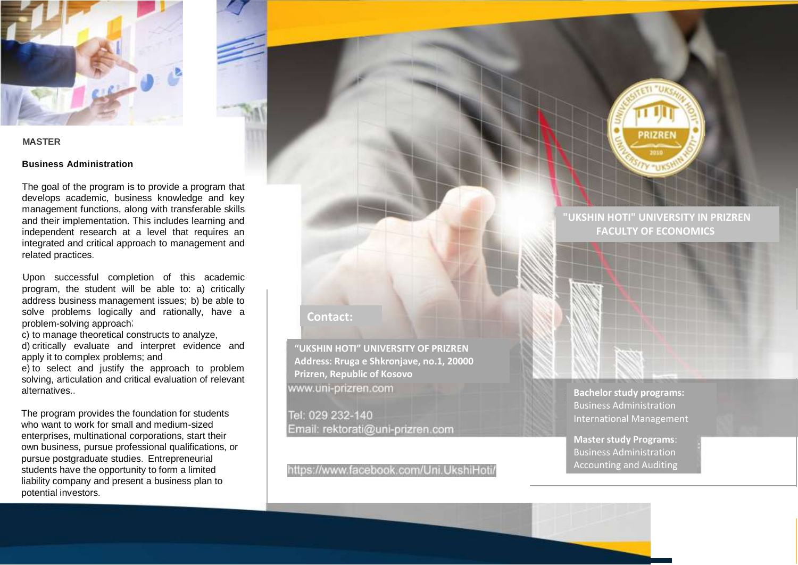

### **MASTER**

### **Business Administration**

The goal of the program is to provide a program that develops academic, business knowledge and key management functions, along with transferable skills and their implementation. This includes learning and independent research at a level that requires an integrated and critical approach to management and related practices.

Upon successful completion of this academic program, the student will be able to: a) critically address business management issues; b) be able to solve problems logically and rationally, have a problem-solving approach;

c) to manage theoretical constructs to analyze,

d) critically evaluate and interpret evidence and apply it to complex problems; and

e) to select and justify the approach to problem solving, articulation and critical evaluation of relevant alternatives..

The program provides the foundation for students who want to work for small and medium-sized enterprises, multinational corporations, start their own business, pursue professional qualifications, or pursue postgraduate studies. Entrepreneurial students have the opportunity to form a limited liability company and present a business plan to potential investors.

## **Contact:**

**"UKSHIN HOTI" UNIVERSITY OF PRIZREN Address: Rruga e Shkronjave, no.1, 20000 Prizren, Republic of Kosovo** www.uni-prizren.com

Tel: 029 232-140 Email: rektorati@uni-prizren.com

https://www.facebook.com/Uni.UkshiHoti/



# **"UKSHIN HOTI" UNIVERSITY IN PRIZREN FACULTY OF ECONOMICS**





**Master study Programs**: Business Administration Accounting and Auditing